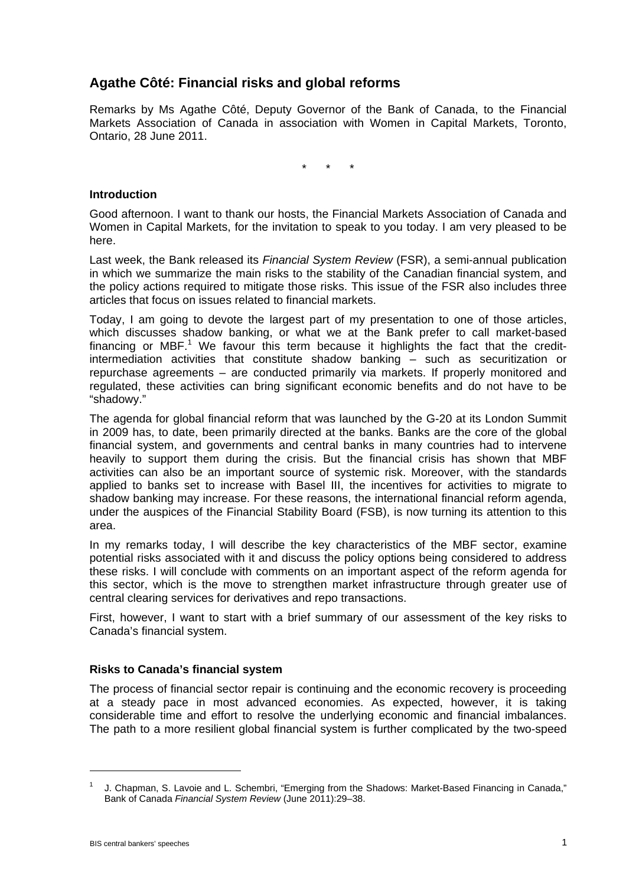# **Agathe Côté: Financial risks and global reforms**

Remarks by Ms Agathe Côté, Deputy Governor of the Bank of Canada, to the Financial Markets Association of Canada in association with Women in Capital Markets, Toronto, Ontario, 28 June 2011.

\* \* \*

### **Introduction**

Good afternoon. I want to thank our hosts, the Financial Markets Association of Canada and Women in Capital Markets, for the invitation to speak to you today. I am very pleased to be here.

Last week, the Bank released its *Financial System Review* (FSR), a semi-annual publication in which we summarize the main risks to the stability of the Canadian financial system, and the policy actions required to mitigate those risks. This issue of the FSR also includes three articles that focus on issues related to financial markets.

Today, I am going to devote the largest part of my presentation to one of those articles, which discusses shadow banking, or what we at the Bank prefer to call market-based financing or MBF.<sup>1</sup> We favour this term because it highlights the fact that the creditintermediation activities that constitute shadow banking – such as securitization or repurchase agreements – are conducted primarily via markets. If properly monitored and regulated, these activities can bring significant economic benefits and do not have to be "shadowy."

The agenda for global financial reform that was launched by the G-20 at its London Summit in 2009 has, to date, been primarily directed at the banks. Banks are the core of the global financial system, and governments and central banks in many countries had to intervene heavily to support them during the crisis. But the financial crisis has shown that MBF activities can also be an important source of systemic risk. Moreover, with the standards applied to banks set to increase with Basel III, the incentives for activities to migrate to shadow banking may increase. For these reasons, the international financial reform agenda, under the auspices of the Financial Stability Board (FSB), is now turning its attention to this area.

In my remarks today, I will describe the key characteristics of the MBF sector, examine potential risks associated with it and discuss the policy options being considered to address these risks. I will conclude with comments on an important aspect of the reform agenda for this sector, which is the move to strengthen market infrastructure through greater use of central clearing services for derivatives and repo transactions.

First, however, I want to start with a brief summary of our assessment of the key risks to Canada's financial system.

## **Risks to Canada's financial system**

The process of financial sector repair is continuing and the economic recovery is proceeding at a steady pace in most advanced economies. As expected, however, it is taking considerable time and effort to resolve the underlying economic and financial imbalances. The path to a more resilient global financial system is further complicated by the two-speed

<sup>1</sup> J. Chapman, S. Lavoie and L. Schembri, "Emerging from the Shadows: Market-Based Financing in Canada," Bank of Canada *Financial System Review* (June 2011):29–38.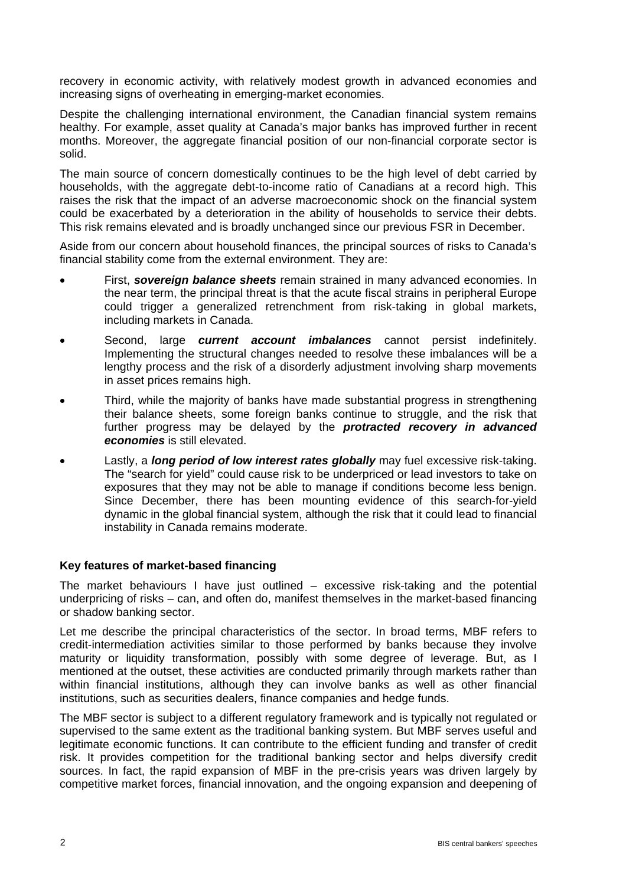recovery in economic activity, with relatively modest growth in advanced economies and increasing signs of overheating in emerging-market economies.

Despite the challenging international environment, the Canadian financial system remains healthy. For example, asset quality at Canada's major banks has improved further in recent months. Moreover, the aggregate financial position of our non-financial corporate sector is solid.

The main source of concern domestically continues to be the high level of debt carried by households, with the aggregate debt-to-income ratio of Canadians at a record high. This raises the risk that the impact of an adverse macroeconomic shock on the financial system could be exacerbated by a deterioration in the ability of households to service their debts. This risk remains elevated and is broadly unchanged since our previous FSR in December.

Aside from our concern about household finances, the principal sources of risks to Canada's financial stability come from the external environment. They are:

- First, *sovereign balance sheets* remain strained in many advanced economies. In the near term, the principal threat is that the acute fiscal strains in peripheral Europe could trigger a generalized retrenchment from risk-taking in global markets, including markets in Canada.
- Second, large *current account imbalances* cannot persist indefinitely. Implementing the structural changes needed to resolve these imbalances will be a lengthy process and the risk of a disorderly adjustment involving sharp movements in asset prices remains high.
- Third, while the majority of banks have made substantial progress in strengthening their balance sheets, some foreign banks continue to struggle, and the risk that further progress may be delayed by the *protracted recovery in advanced economies* is still elevated.
- Lastly, a *long period of low interest rates globally* may fuel excessive risk-taking. The "search for yield" could cause risk to be underpriced or lead investors to take on exposures that they may not be able to manage if conditions become less benign. Since December, there has been mounting evidence of this search-for-yield dynamic in the global financial system, although the risk that it could lead to financial instability in Canada remains moderate.

## **Key features of market-based financing**

The market behaviours I have just outlined – excessive risk-taking and the potential underpricing of risks – can, and often do, manifest themselves in the market-based financing or shadow banking sector.

Let me describe the principal characteristics of the sector. In broad terms, MBF refers to credit-intermediation activities similar to those performed by banks because they involve maturity or liquidity transformation, possibly with some degree of leverage. But, as I mentioned at the outset, these activities are conducted primarily through markets rather than within financial institutions, although they can involve banks as well as other financial institutions, such as securities dealers, finance companies and hedge funds.

The MBF sector is subject to a different regulatory framework and is typically not regulated or supervised to the same extent as the traditional banking system. But MBF serves useful and legitimate economic functions. It can contribute to the efficient funding and transfer of credit risk. It provides competition for the traditional banking sector and helps diversify credit sources. In fact, the rapid expansion of MBF in the pre-crisis years was driven largely by competitive market forces, financial innovation, and the ongoing expansion and deepening of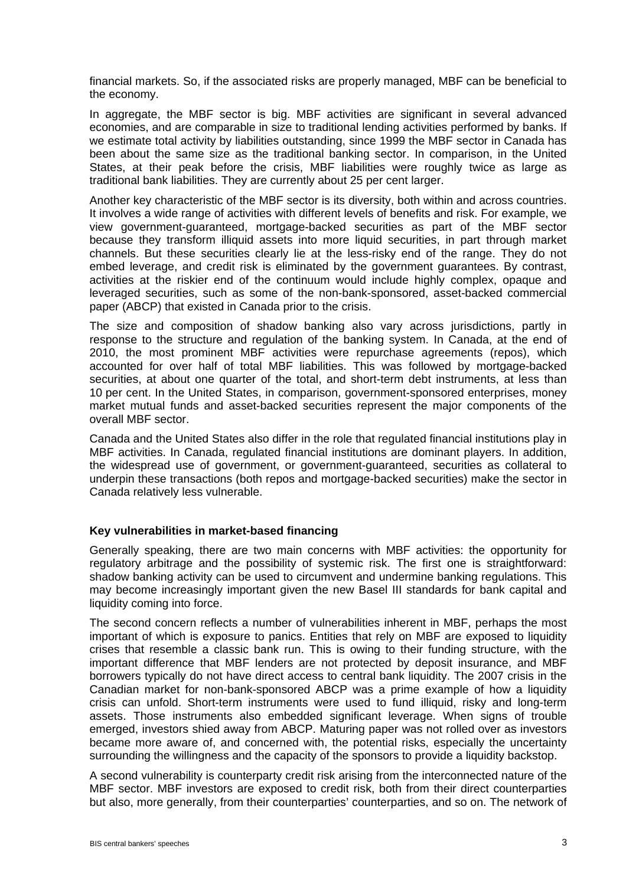financial markets. So, if the associated risks are properly managed, MBF can be beneficial to the economy.

In aggregate, the MBF sector is big. MBF activities are significant in several advanced economies, and are comparable in size to traditional lending activities performed by banks. If we estimate total activity by liabilities outstanding, since 1999 the MBF sector in Canada has been about the same size as the traditional banking sector. In comparison, in the United States, at their peak before the crisis, MBF liabilities were roughly twice as large as traditional bank liabilities. They are currently about 25 per cent larger.

Another key characteristic of the MBF sector is its diversity, both within and across countries. It involves a wide range of activities with different levels of benefits and risk. For example, we view government-guaranteed, mortgage-backed securities as part of the MBF sector because they transform illiquid assets into more liquid securities, in part through market channels. But these securities clearly lie at the less-risky end of the range. They do not embed leverage, and credit risk is eliminated by the government guarantees. By contrast, activities at the riskier end of the continuum would include highly complex, opaque and leveraged securities, such as some of the non-bank-sponsored, asset-backed commercial paper (ABCP) that existed in Canada prior to the crisis.

The size and composition of shadow banking also vary across jurisdictions, partly in response to the structure and regulation of the banking system. In Canada, at the end of 2010, the most prominent MBF activities were repurchase agreements (repos), which accounted for over half of total MBF liabilities. This was followed by mortgage-backed securities, at about one quarter of the total, and short-term debt instruments, at less than 10 per cent. In the United States, in comparison, government-sponsored enterprises, money market mutual funds and asset-backed securities represent the major components of the overall MBF sector.

Canada and the United States also differ in the role that regulated financial institutions play in MBF activities. In Canada, regulated financial institutions are dominant players. In addition, the widespread use of government, or government-guaranteed, securities as collateral to underpin these transactions (both repos and mortgage-backed securities) make the sector in Canada relatively less vulnerable.

#### **Key vulnerabilities in market-based financing**

Generally speaking, there are two main concerns with MBF activities: the opportunity for regulatory arbitrage and the possibility of systemic risk. The first one is straightforward: shadow banking activity can be used to circumvent and undermine banking regulations. This may become increasingly important given the new Basel III standards for bank capital and liquidity coming into force.

The second concern reflects a number of vulnerabilities inherent in MBF, perhaps the most important of which is exposure to panics. Entities that rely on MBF are exposed to liquidity crises that resemble a classic bank run. This is owing to their funding structure, with the important difference that MBF lenders are not protected by deposit insurance, and MBF borrowers typically do not have direct access to central bank liquidity. The 2007 crisis in the Canadian market for non-bank-sponsored ABCP was a prime example of how a liquidity crisis can unfold. Short-term instruments were used to fund illiquid, risky and long-term assets. Those instruments also embedded significant leverage. When signs of trouble emerged, investors shied away from ABCP. Maturing paper was not rolled over as investors became more aware of, and concerned with, the potential risks, especially the uncertainty surrounding the willingness and the capacity of the sponsors to provide a liquidity backstop.

A second vulnerability is counterparty credit risk arising from the interconnected nature of the MBF sector. MBF investors are exposed to credit risk, both from their direct counterparties but also, more generally, from their counterparties' counterparties, and so on. The network of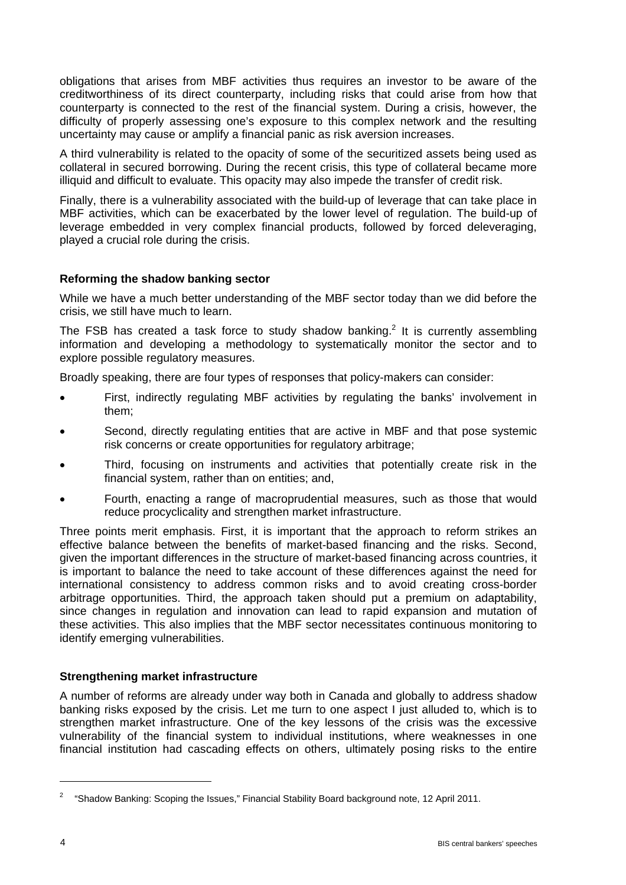obligations that arises from MBF activities thus requires an investor to be aware of the creditworthiness of its direct counterparty, including risks that could arise from how that counterparty is connected to the rest of the financial system. During a crisis, however, the difficulty of properly assessing one's exposure to this complex network and the resulting uncertainty may cause or amplify a financial panic as risk aversion increases.

A third vulnerability is related to the opacity of some of the securitized assets being used as collateral in secured borrowing. During the recent crisis, this type of collateral became more illiquid and difficult to evaluate. This opacity may also impede the transfer of credit risk.

Finally, there is a vulnerability associated with the build-up of leverage that can take place in MBF activities, which can be exacerbated by the lower level of regulation. The build-up of leverage embedded in very complex financial products, followed by forced deleveraging, played a crucial role during the crisis.

## **Reforming the shadow banking sector**

While we have a much better understanding of the MBF sector today than we did before the crisis, we still have much to learn.

The FSB has created a task force to study shadow banking.<sup>2</sup> It is currently assembling information and developing a methodology to systematically monitor the sector and to explore possible regulatory measures.

Broadly speaking, there are four types of responses that policy-makers can consider:

- First, indirectly regulating MBF activities by regulating the banks' involvement in them;
- Second, directly regulating entities that are active in MBF and that pose systemic risk concerns or create opportunities for regulatory arbitrage;
- Third, focusing on instruments and activities that potentially create risk in the financial system, rather than on entities; and,
- Fourth, enacting a range of macroprudential measures, such as those that would reduce procyclicality and strengthen market infrastructure.

Three points merit emphasis. First, it is important that the approach to reform strikes an effective balance between the benefits of market-based financing and the risks. Second, given the important differences in the structure of market-based financing across countries, it is important to balance the need to take account of these differences against the need for international consistency to address common risks and to avoid creating cross-border arbitrage opportunities. Third, the approach taken should put a premium on adaptability, since changes in regulation and innovation can lead to rapid expansion and mutation of these activities. This also implies that the MBF sector necessitates continuous monitoring to identify emerging vulnerabilities.

## **Strengthening market infrastructure**

A number of reforms are already under way both in Canada and globally to address shadow banking risks exposed by the crisis. Let me turn to one aspect I just alluded to, which is to strengthen market infrastructure. One of the key lessons of the crisis was the excessive vulnerability of the financial system to individual institutions, where weaknesses in one financial institution had cascading effects on others, ultimately posing risks to the entire

 $\overline{a}$ 

<sup>&</sup>lt;sup>2</sup> "Shadow Banking: Scoping the Issues," Financial Stability Board background note, 12 April 2011.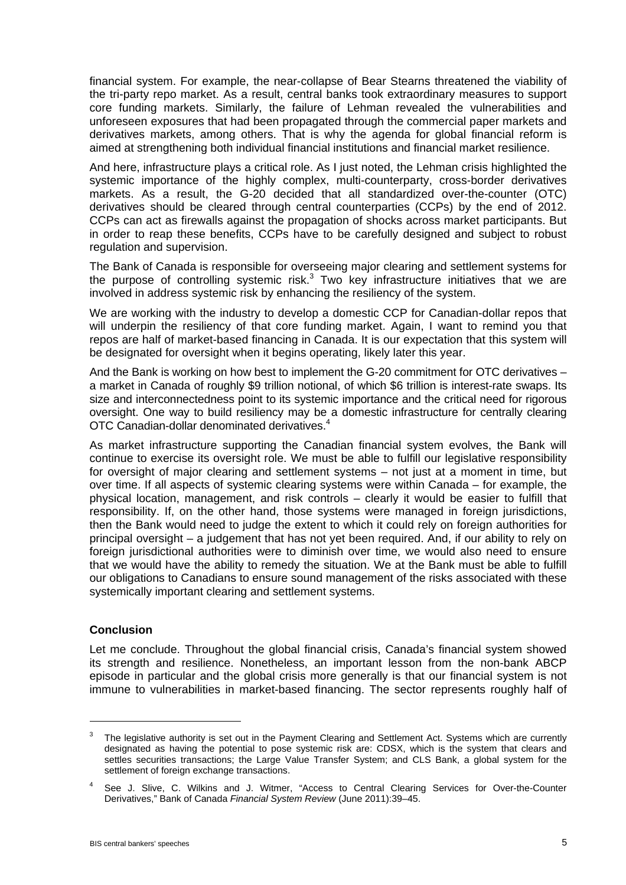financial system. For example, the near-collapse of Bear Stearns threatened the viability of the tri-party repo market. As a result, central banks took extraordinary measures to support core funding markets. Similarly, the failure of Lehman revealed the vulnerabilities and unforeseen exposures that had been propagated through the commercial paper markets and derivatives markets, among others. That is why the agenda for global financial reform is aimed at strengthening both individual financial institutions and financial market resilience.

And here, infrastructure plays a critical role. As I just noted, the Lehman crisis highlighted the systemic importance of the highly complex, multi-counterparty, cross-border derivatives markets. As a result, the G-20 decided that all standardized over-the-counter (OTC) derivatives should be cleared through central counterparties (CCPs) by the end of 2012. CCPs can act as firewalls against the propagation of shocks across market participants. But in order to reap these benefits, CCPs have to be carefully designed and subject to robust regulation and supervision.

The Bank of Canada is responsible for overseeing major clearing and settlement systems for the purpose of controlling systemic risk. $3$  Two key infrastructure initiatives that we are involved in address systemic risk by enhancing the resiliency of the system.

We are working with the industry to develop a domestic CCP for Canadian-dollar repos that will underpin the resiliency of that core funding market. Again, I want to remind you that repos are half of market-based financing in Canada. It is our expectation that this system will be designated for oversight when it begins operating, likely later this year.

And the Bank is working on how best to implement the G-20 commitment for OTC derivatives – a market in Canada of roughly \$9 trillion notional, of which \$6 trillion is interest-rate swaps. Its size and interconnectedness point to its systemic importance and the critical need for rigorous oversight. One way to build resiliency may be a domestic infrastructure for centrally clearing OTC Canadian-dollar denominated derivatives.<sup>4</sup>

As market infrastructure supporting the Canadian financial system evolves, the Bank will continue to exercise its oversight role. We must be able to fulfill our legislative responsibility for oversight of major clearing and settlement systems – not just at a moment in time, but over time. If all aspects of systemic clearing systems were within Canada – for example, the physical location, management, and risk controls – clearly it would be easier to fulfill that responsibility. If, on the other hand, those systems were managed in foreign jurisdictions, then the Bank would need to judge the extent to which it could rely on foreign authorities for principal oversight – a judgement that has not yet been required. And, if our ability to rely on foreign jurisdictional authorities were to diminish over time, we would also need to ensure that we would have the ability to remedy the situation. We at the Bank must be able to fulfill our obligations to Canadians to ensure sound management of the risks associated with these systemically important clearing and settlement systems.

## **Conclusion**

 $\overline{a}$ 

Let me conclude. Throughout the global financial crisis, Canada's financial system showed its strength and resilience. Nonetheless, an important lesson from the non-bank ABCP episode in particular and the global crisis more generally is that our financial system is not immune to vulnerabilities in market-based financing. The sector represents roughly half of

<sup>3</sup> The legislative authority is set out in the Payment Clearing and Settlement Act. Systems which are currently designated as having the potential to pose systemic risk are: CDSX, which is the system that clears and settles securities transactions; the Large Value Transfer System; and CLS Bank, a global system for the settlement of foreign exchange transactions.

<sup>4</sup> See J. Slive, C. Wilkins and J. Witmer, "Access to Central Clearing Services for Over-the-Counter Derivatives," Bank of Canada *Financial System Review* (June 2011):39–45.